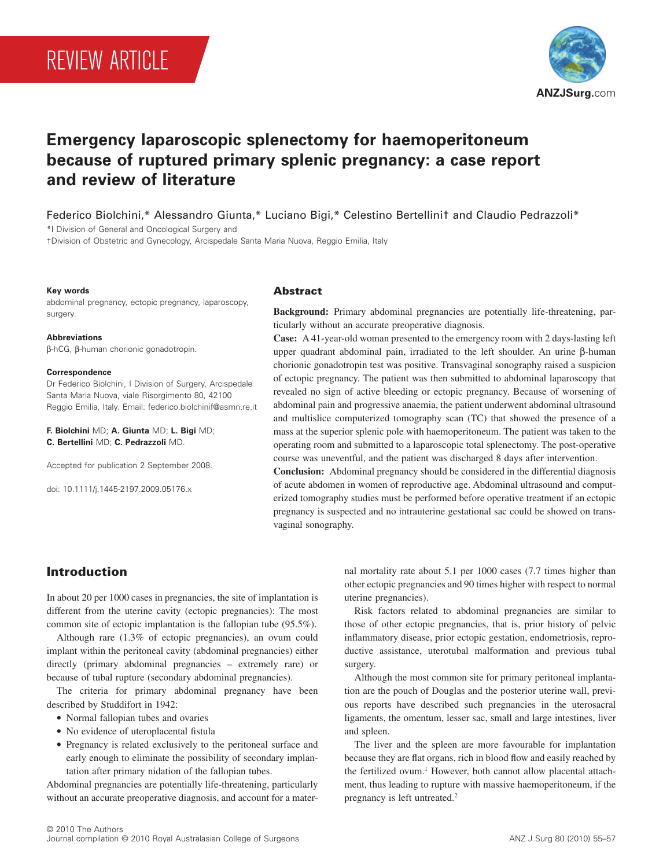# REVIEW ARTICLE



# **Emergency laparoscopic splenectomy for haemoperitoneum because of ruptured primary splenic pregnancy: a case report** and review of literature

Federico Biolchini,\* Alessandro Giunta,\* Luciano Bigi,\* Celestino Bertellini† and Claudio Pedrazzoli\*

\*I Division of General and Oncological Surgery and

†Division of Obstetric and Gynecology, Arcispedale Santa Maria Nuova, Reggio Emilia, Italy

#### **Key words**

abdominal pregnancy, ectopic pregnancy, laparoscopy, surgery.

**Abbreviations** b-hCG, b-human chorionic gonadotropin.

#### **Correspondence**

Dr Federico Biolchini, I Division of Surgery, Arcispedale Santa Maria Nuova, viale Risorgimento 80, 42100 Reggio Emilia, Italy. Email: federico.biolchinif@asmn.re.it

**F. Biolchini** MD; **A. Giunta** MD; **L. Bigi** MD; **C. Bertellini** MD; **C. Pedrazzoli** MD.

Accepted for publication 2 September 2008.

doi: 10.1111/j.1445-2197.2009.05176.x

#### **Abstract**

**Background:** Primary abdominal pregnancies are potentially life-threatening, particularly without an accurate preoperative diagnosis.

**Case:** A 41-year-old woman presented to the emergency room with 2 days-lasting left upper quadrant abdominal pain, irradiated to the left shoulder. An urine  $\beta$ -human chorionic gonadotropin test was positive. Transvaginal sonography raised a suspicion of ectopic pregnancy. The patient was then submitted to abdominal laparoscopy that revealed no sign of active bleeding or ectopic pregnancy. Because of worsening of abdominal pain and progressive anaemia, the patient underwent abdominal ultrasound and multislice computerized tomography scan (TC) that showed the presence of a mass at the superior splenic pole with haemoperitoneum. The patient was taken to the operating room and submitted to a laparoscopic total splenectomy. The post-operative course was uneventful, and the patient was discharged 8 days after intervention.

**Conclusion:** Abdominal pregnancy should be considered in the differential diagnosis of acute abdomen in women of reproductive age. Abdominal ultrasound and computerized tomography studies must be performed before operative treatment if an ectopic pregnancy is suspected and no intrauterine gestational sac could be showed on transvaginal sonography.

# **Introduction**

In about 20 per 1000 cases in pregnancies, the site of implantation is different from the uterine cavity (ectopic pregnancies): The most common site of ectopic implantation is the fallopian tube (95.5%).

Although rare (1.3% of ectopic pregnancies), an ovum could implant within the peritoneal cavity (abdominal pregnancies) either directly (primary abdominal pregnancies – extremely rare) or because of tubal rupture (secondary abdominal pregnancies).

The criteria for primary abdominal pregnancy have been described by Studdifort in 1942:

- Normal fallopian tubes and ovaries
- No evidence of uteroplacental fistula
- Pregnancy is related exclusively to the peritoneal surface and early enough to eliminate the possibility of secondary implantation after primary nidation of the fallopian tubes.

Abdominal pregnancies are potentially life-threatening, particularly without an accurate preoperative diagnosis, and account for a maternal mortality rate about 5.1 per 1000 cases (7.7 times higher than other ectopic pregnancies and 90 times higher with respect to normal uterine pregnancies).

Risk factors related to abdominal pregnancies are similar to those of other ectopic pregnancies, that is, prior history of pelvic inflammatory disease, prior ectopic gestation, endometriosis, reproductive assistance, uterotubal malformation and previous tubal surgery.

Although the most common site for primary peritoneal implantation are the pouch of Douglas and the posterior uterine wall, previous reports have described such pregnancies in the uterosacral ligaments, the omentum, lesser sac, small and large intestines, liver and spleen.

The liver and the spleen are more favourable for implantation because they are flat organs, rich in blood flow and easily reached by the fertilized ovum.<sup>1</sup> However, both cannot allow placental attachment, thus leading to rupture with massive haemoperitoneum, if the pregnancy is left untreated.<sup>2</sup>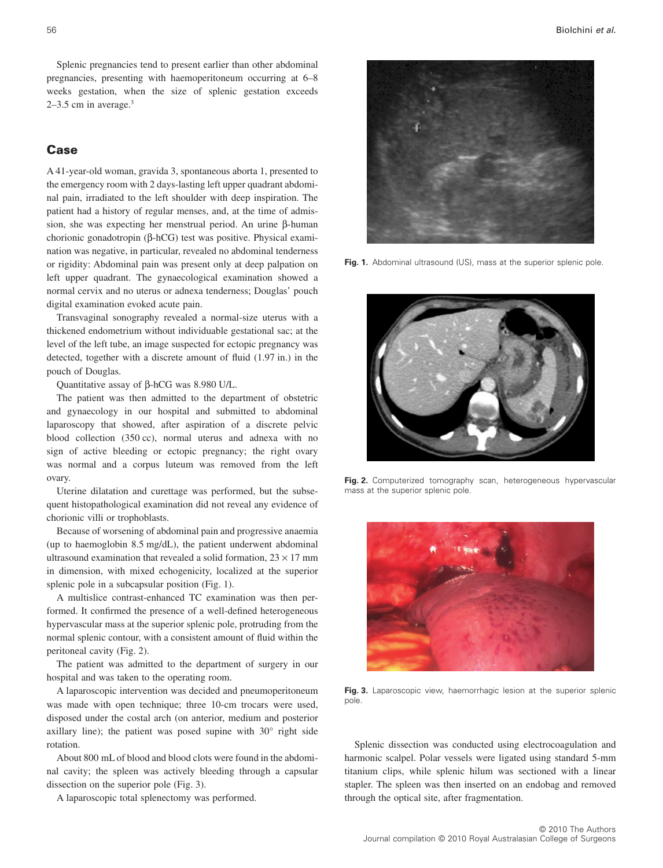Splenic pregnancies tend to present earlier than other abdominal pregnancies, presenting with haemoperitoneum occurring at 6–8 weeks gestation, when the size of splenic gestation exceeds  $2-3.5$  cm in average.<sup>3</sup>

# **Case**

A 41-year-old woman, gravida 3, spontaneous aborta 1, presented to the emergency room with 2 days-lasting left upper quadrant abdominal pain, irradiated to the left shoulder with deep inspiration. The patient had a history of regular menses, and, at the time of admission, she was expecting her menstrual period. An urine  $\beta$ -human chorionic gonadotropin (β-hCG) test was positive. Physical examination was negative, in particular, revealed no abdominal tenderness or rigidity: Abdominal pain was present only at deep palpation on left upper quadrant. The gynaecological examination showed a normal cervix and no uterus or adnexa tenderness; Douglas' pouch digital examination evoked acute pain.

Transvaginal sonography revealed a normal-size uterus with a thickened endometrium without individuable gestational sac; at the level of the left tube, an image suspected for ectopic pregnancy was detected, together with a discrete amount of fluid (1.97 in.) in the pouch of Douglas.

Quantitative assay of  $\beta$ -hCG was 8.980 U/L.

The patient was then admitted to the department of obstetric and gynaecology in our hospital and submitted to abdominal laparoscopy that showed, after aspiration of a discrete pelvic blood collection (350 cc), normal uterus and adnexa with no sign of active bleeding or ectopic pregnancy; the right ovary was normal and a corpus luteum was removed from the left ovary.

Uterine dilatation and curettage was performed, but the subsequent histopathological examination did not reveal any evidence of chorionic villi or trophoblasts.

Because of worsening of abdominal pain and progressive anaemia (up to haemoglobin 8.5 mg/dL), the patient underwent abdominal ultrasound examination that revealed a solid formation,  $23 \times 17$  mm in dimension, with mixed echogenicity, localized at the superior splenic pole in a subcapsular position (Fig. 1).

A multislice contrast-enhanced TC examination was then performed. It confirmed the presence of a well-defined heterogeneous hypervascular mass at the superior splenic pole, protruding from the normal splenic contour, with a consistent amount of fluid within the peritoneal cavity (Fig. 2).

The patient was admitted to the department of surgery in our hospital and was taken to the operating room.

A laparoscopic intervention was decided and pneumoperitoneum was made with open technique; three 10-cm trocars were used, disposed under the costal arch (on anterior, medium and posterior axillary line); the patient was posed supine with 30° right side rotation.

About 800 mL of blood and blood clots were found in the abdominal cavity; the spleen was actively bleeding through a capsular dissection on the superior pole (Fig. 3).

A laparoscopic total splenectomy was performed.



Fig. 1. Abdominal ultrasound (US), mass at the superior splenic pole.



**Fig. 2.** Computerized tomography scan, heterogeneous hypervascular mass at the superior splenic pole.



Fig. 3. Laparoscopic view, haemorrhagic lesion at the superior splenic pole.

Splenic dissection was conducted using electrocoagulation and harmonic scalpel. Polar vessels were ligated using standard 5-mm titanium clips, while splenic hilum was sectioned with a linear stapler. The spleen was then inserted on an endobag and removed through the optical site, after fragmentation.